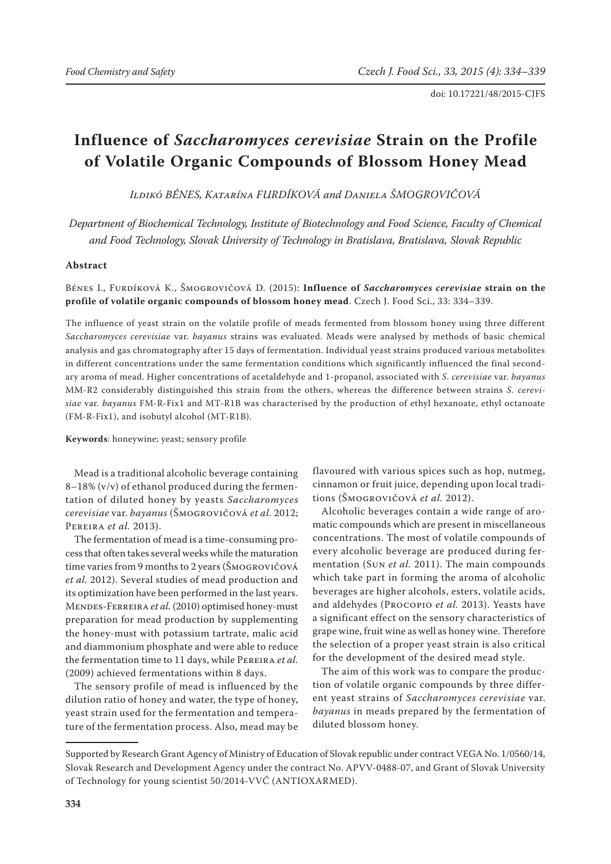# **Influence of** *Saccharomyces cerevisiae* **Strain on the Profile of Volatile Organic Compounds of Blossom Honey Mead**

*Ildikó Bénes, Katarína Furdíková and Daniela Šmogrovičová*

*Department of Biochemical Technology, Institute of Biotechnology and Food Science, Faculty of Chemical and Food Technology, Slovak University of Technology in Bratislava, Bratislava, Slovak Republic*

## **Abstract**

Bénes I., Furdíková K., Šmogrovičová D. (2015): **Influence of** *Saccharomyces cerevisiae* **strain on the profile of volatile organic compounds of blossom honey mead**. Czech J. Food Sci., 33: 334–339.

The influence of yeast strain on the volatile profile of meads fermented from blossom honey using three different *Saccharomyces cerevisiae* var. *bayanus* strains was evaluated. Meads were analysed by methods of basic chemical analysis and gas chromatography after 15 days of fermentation. Individual yeast strains produced various metabolites in different concentrations under the same fermentation conditions which significantly influenced the final secondary aroma of mead. Higher concentrations of acetaldehyde and 1-propanol, associated with *S. cerevisiae* var. *bayanus* MM-R2 considerably distinguished this strain from the others, whereas the difference between strains *S. cerevisiae* var. *bayanus* FM-R-Fix1 and MT-R1B was characterised by the production of ethyl hexanoate, ethyl octanoate (FM-R-Fix1), and isobutyl alcohol (MT-R1B).

**Keywords**: honeywine; yeast; sensory profile

Mead is a traditional alcoholic beverage containing  $8-18\%$  (v/v) of ethanol produced during the fermentation of diluted honey by yeasts *Saccharomyces cerevisiae* var. *bayanus* (Šmogrovičová *et al.* 2012; Pereira *et al.* 2013).

The fermentation of mead is a time-consuming process that often takes several weeks while the maturation time varies from 9 months to 2 years (Šmogrovičová *et al.* 2012). Several studies of mead production and its optimization have been performed in the last years. Mendes-Ferreira *et al.* (2010) optimised honey-must preparation for mead production by supplementing the honey-must with potassium tartrate, malic acid and diammonium phosphate and were able to reduce the fermentation time to 11 days, while Pereira *et al.* (2009) achieved fermentations within 8 days.

The sensory profile of mead is influenced by the dilution ratio of honey and water, the type of honey, yeast strain used for the fermentation and temperature of the fermentation process. Also, mead may be flavoured with various spices such as hop, nutmeg, cinnamon or fruit juice, depending upon local traditions (Šmogrovičová *et al.* 2012).

Alcoholic beverages contain a wide range of aromatic compounds which are present in miscellaneous concentrations. The most of volatile compounds of every alcoholic beverage are produced during fermentation (Sun *et al.* 2011). The main compounds which take part in forming the aroma of alcoholic beverages are higher alcohols, esters, volatile acids, and aldehydes (Procopio *et al.* 2013). Yeasts have a significant effect on the sensory characteristics of grape wine, fruit wine as well as honey wine. Therefore the selection of a proper yeast strain is also critical for the development of the desired mead style.

The aim of this work was to compare the production of volatile organic compounds by three different yeast strains of *Saccharomyces cerevisiae* var. *bayanus* in meads prepared by the fermentation of diluted blossom honey.

Supported by Research Grant Agency of Ministry of Education of Slovak republic under contract VEGA No. 1/0560/14, Slovak Research and Development Agency under the contract No. APVV-0488-07, and Grant of Slovak University of Technology for young scientist 50/2014-VVČ (ANTIOXARMED).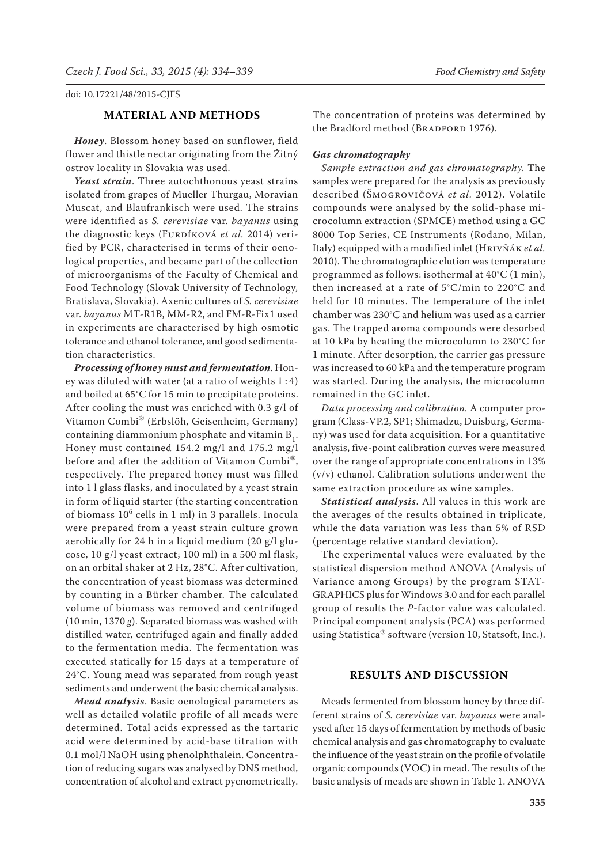# **Material and methods**

*Honey*. Blossom honey based on sunflower, field flower and thistle nectar originating from the Žitný ostrov locality in Slovakia was used.

*Yeast strain*. Three autochthonous yeast strains isolated from grapes of Mueller Thurgau, Moravian Muscat, and Blaufrankisch were used. The strains were identified as *S. cerevisiae* var. *bayanus* using the diagnostic keys (FURDÍKOVÁ et al. 2014) verified by PCR, characterised in terms of their oenological properties, and became part of the collection of microorganisms of the Faculty of Chemical and Food Technology (Slovak University of Technology, Bratislava, Slovakia). Axenic cultures of *S. cerevisiae*  var. *bayanus* MT-R1B, MM-R2, and FM-R-Fix1 used in experiments are characterised by high osmotic tolerance and ethanol tolerance, and good sedimentation characteristics.

*Processing of honey must and fermentation*. Honey was diluted with water (at a ratio of weights 1 : 4) and boiled at 65°C for 15 min to precipitate proteins. After cooling the must was enriched with 0.3 g/l of Vitamon Combi® (Erbslöh, Geisenheim, Germany) containing diammonium phosphate and vitamin  $B_1$ . Honey must contained 154.2 mg/l and 175.2 mg/l before and after the addition of Vitamon Combi®, respectively. The prepared honey must was filled into 1 l glass flasks, and inoculated by a yeast strain in form of liquid starter (the starting concentration of biomass 10<sup>6</sup> cells in 1 ml) in 3 parallels. Inocula were prepared from a yeast strain culture grown aerobically for 24 h in a liquid medium (20 g/l glucose, 10 g/l yeast extract; 100 ml) in a 500 ml flask, on an orbital shaker at 2 Hz, 28°C. After cultivation, the concentration of yeast biomass was determined by counting in a Bürker chamber. The calculated volume of biomass was removed and centrifuged (10 min, 1370 *g*). Separated biomass was washed with distilled water, centrifuged again and finally added to the fermentation media. The fermentation was executed statically for 15 days at a temperature of 24°C. Young mead was separated from rough yeast sediments and underwent the basic chemical analysis.

*Mead analysis*. Basic oenological parameters as well as detailed volatile profile of all meads were determined. Total acids expressed as the tartaric acid were determined by acid-base titration with 0.1 mol/l NaOH using phenolphthalein. Concentration of reducing sugars was analysed by DNS method, concentration of alcohol and extract pycnometrically.

The concentration of proteins was determined by the Bradford method (BRADFORD 1976).

## *Gas chromatography*

*Sample extraction and gas chromatography.* The samples were prepared for the analysis as previously described (Šmogrovičová *et al.* 2012). Volatile compounds were analysed by the solid-phase microcolumn extraction (SPMCE) method using a GC 8000 Top Series, CE Instruments (Rodano, Milan, Italy) equipped with a modified inlet (Hrivňák *et al.* 2010). The chromatographic elution was temperature programmed as follows: isothermal at 40°C (1 min), then increased at a rate of 5°C/min to 220°C and held for 10 minutes. The temperature of the inlet chamber was 230°C and helium was used as a carrier gas. The trapped aroma compounds were desorbed at 10 kPa by heating the microcolumn to 230°C for 1 minute. After desorption, the carrier gas pressure was increased to 60 kPa and the temperature program was started. During the analysis, the microcolumn remained in the GC inlet.

*Data processing and calibration.* A computer program (Class-VP.2, SP1; Shimadzu, Duisburg, Germany) was used for data acquisition. For a quantitative analysis, five-point calibration curves were measured over the range of appropriate concentrations in 13% (v/v) ethanol. Calibration solutions underwent the same extraction procedure as wine samples.

*Statistical analysis*. All values in this work are the averages of the results obtained in triplicate, while the data variation was less than 5% of RSD (percentage relative standard deviation).

The experimental values were evaluated by the statistical dispersion method ANOVA (Analysis of Variance among Groups) by the program STAT-GRAPHICS plus for Windows 3.0 and for each parallel group of results the *P*-factor value was calculated. Principal component analysis (PCA) was performed using Statistica® software (version 10, Statsoft, Inc.).

### **Results and discussion**

Meads fermented from blossom honey by three different strains of *S. cerevisiae* var. *bayanus* were analysed after 15 days of fermentation by methods of basic chemical analysis and gas chromatography to evaluate the influence of the yeast strain on the profile of volatile organic compounds (VOC) in mead. The results of the basic analysis of meads are shown in Table 1. ANOVA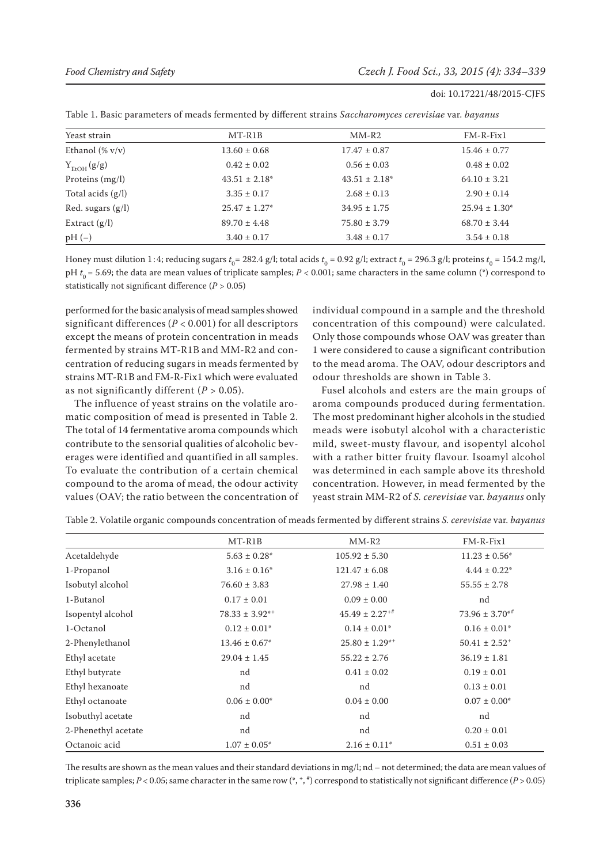| Yeast strain           | MT-R1B             | $MM-R2$            | $FM-R-Fix1$        |
|------------------------|--------------------|--------------------|--------------------|
| Ethanol $(\% v/v)$     | $13.60 \pm 0.68$   | $17.47 \pm 0.87$   | $15.46 \pm 0.77$   |
| $Y_{\text{EtOH}}(g/g)$ | $0.42 \pm 0.02$    | $0.56 \pm 0.03$    | $0.48 \pm 0.02$    |
| Proteins $(mg/l)$      | $43.51 \pm 2.18^*$ | $43.51 \pm 2.18^*$ | $64.10 \pm 3.21$   |
| Total acids $(g/l)$    | $3.35 \pm 0.17$    | $2.68 \pm 0.13$    | $2.90 \pm 0.14$    |
| Red. sugars $(g/l)$    | $25.47 \pm 1.27^*$ | $34.95 \pm 1.75$   | $25.94 \pm 1.30^*$ |
| Extract $(g/l)$        | $89.70 \pm 4.48$   | $75.80 \pm 3.79$   | $68.70 \pm 3.44$   |
| $pH(-)$                | $3.40 \pm 0.17$    | $3.48 \pm 0.17$    | $3.54 \pm 0.18$    |

Honey must dilution 1:4; reducing sugars  $t_0$ = 282.4 g/l; total acids  $t_0$  = 0.92 g/l; extract  $t_0$  = 296.3 g/l; proteins  $t_0$  = 154.2 mg/l, pH  $t_0$  = 5.69; the data are mean values of triplicate samples; *P* < 0.001; same characters in the same column (\*) correspond to statistically not significant difference (*P* > 0.05)

performed for the basic analysis of mead samples showed significant differences (*P* < 0.001) for all descriptors except the means of protein concentration in meads fermented by strains MT-R1B and MM-R2 and concentration of reducing sugars in meads fermented by strains MT-R1B and FM-R-Fix1 which were evaluated as not significantly different  $(P > 0.05)$ .

The influence of yeast strains on the volatile aromatic composition of mead is presented in Table 2. The total of 14 fermentative aroma compounds which contribute to the sensorial qualities of alcoholic beverages were identified and quantified in all samples. To evaluate the contribution of a certain chemical compound to the aroma of mead, the odour activity values (OAV; the ratio between the concentration of individual compound in a sample and the threshold concentration of this compound) were calculated. Only those compounds whose OAV was greater than 1 were considered to cause a significant contribution to the mead aroma. The OAV, odour descriptors and odour thresholds are shown in Table 3.

Fusel alcohols and esters are the main groups of aroma compounds produced during fermentation. The most predominant higher alcohols in the studied meads were isobutyl alcohol with a characteristic mild, sweet-musty flavour, and isopentyl alcohol with a rather bitter fruity flavour. Isoamyl alcohol was determined in each sample above its threshold concentration. However, in mead fermented by the yeast strain MM-R2 of *S. cerevisiae* var. *bayanus* only

|                     | MT-R1B                | $MM-R2$               | $FM-R-Fix1$                   |  |
|---------------------|-----------------------|-----------------------|-------------------------------|--|
| Acetaldehyde        | $5.63 \pm 0.28^*$     | $105.92 \pm 5.30$     | $11.23 \pm 0.56^*$            |  |
| 1-Propanol          | $3.16 \pm 0.16^*$     | $121.47 \pm 6.08$     | $4.44 \pm 0.22^*$             |  |
| Isobutyl alcohol    | $76.60 \pm 3.83$      | $27.98 \pm 1.40$      | $55.55 \pm 2.78$              |  |
| 1-Butanol           | $0.17 \pm 0.01$       | $0.09 \pm 0.00$       | nd                            |  |
| Isopentyl alcohol   | $78.33 \pm 3.92^{*+}$ | $45.49 \pm 2.27^{+4}$ | $73.96 \pm 3.70**$            |  |
| 1-Octanol           | $0.12 \pm 0.01^*$     | $0.14 \pm 0.01^*$     | $0.16 \pm 0.01^*$             |  |
| 2-Phenylethanol     | $13.46 \pm 0.67^*$    | $25.80 \pm 1.29$ **   | $50.41 \pm 2.52$ <sup>+</sup> |  |
| Ethyl acetate       | $29.04 \pm 1.45$      | $55.22 \pm 2.76$      | $36.19 \pm 1.81$              |  |
| Ethyl butyrate      | nd                    | $0.41 \pm 0.02$       | $0.19 \pm 0.01$               |  |
| Ethyl hexanoate     | nd                    | nd                    | $0.13 \pm 0.01$               |  |
| Ethyl octanoate     | $0.06 \pm 0.00^*$     | $0.04 \pm 0.00$       | $0.07 \pm 0.00^*$             |  |
| Isobuthyl acetate   | nd                    | nd                    | nd                            |  |
| 2-Phenethyl acetate | nd                    | nd                    | $0.20 \pm 0.01$               |  |
| Octanoic acid       | $1.07 \pm 0.05^*$     | $2.16 \pm 0.11^*$     | $0.51 \pm 0.03$               |  |

Table 2. Volatile organic compounds concentration of meads fermented by different strains *S. cerevisiae* var. *bayanus*

The results are shown as the mean values and their standard deviations in mg/l; nd – not determined; the data are mean values of triplicate samples; *P* < 0.05; same character in the same row (\*, +, # ) correspond to statistically not significant difference (*P* > 0.05)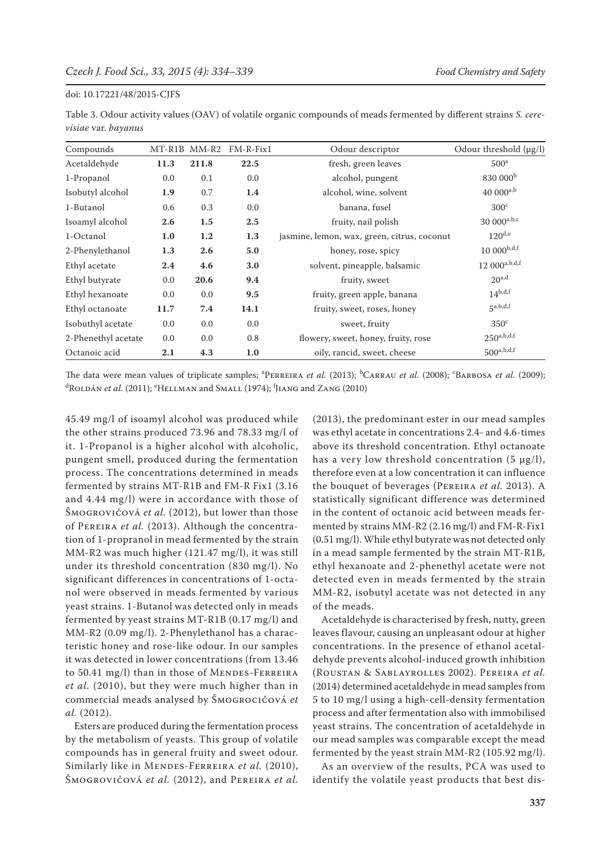Table 3. Odour activity values (OAV) of volatile organic compounds of meads fermented by different strains *S. cerevisiae* var. *bayanus*

| Compounds           |                  | MT-R1B MM-R2 | $FM-R-Fix1$ | Odour descriptor                            | Odour threshold (µg/l)   |
|---------------------|------------------|--------------|-------------|---------------------------------------------|--------------------------|
| Acetaldehyde        | 11.3             | 211.8        | 22.5        | fresh, green leaves                         | 500 <sup>a</sup>         |
| 1-Propanol          | 0.0              | 0.1          | 0.0         | alcohol, pungent                            | 830 000 <sup>b</sup>     |
| Isobutyl alcohol    | 1.9              | 0.7          | 1.4         | alcohol, wine, solvent                      | $40000^{a,b}$            |
| 1-Butanol           | 0.6              | 0.3          | 0.0         | banana, fusel                               | 300 <sup>c</sup>         |
| Isoamyl alcohol     | 2.6              | 1.5          | $2.5\,$     | fruity, nail polish                         | $3000^{a,b,c}$           |
| 1-Octanol           | 1.0              | $1.2\,$      | 1.3         | jasmine, lemon, wax, green, citrus, coconut | $120^{d,e}$              |
| 2-Phenylethanol     | 1.3              | 2.6          | 5.0         | honey, rose, spicy                          | $10000^{b,d,f}$          |
| Ethyl acetate       | $2.4\phantom{0}$ | 4.6          | 3.0         | solvent, pineapple, balsamic                | $12000^{a,b,d,f}$        |
| Ethyl butyrate      | 0.0              | 20.6         | 9.4         | fruity, sweet                               | $20^{a,d}$               |
| Ethyl hexanoate     | 0.0              | 0.0          | 9.5         | fruity, green apple, banana                 | $14^{b,d,f}$             |
| Ethyl octanoate     | 11.7             | 7.4          | 14.1        | fruity, sweet, roses, honey                 | 5a,b,d,f                 |
| Isobuthyl acetate   | 0.0              | 0.0          | 0.0         | sweet, fruity                               | $350^{\circ}$            |
| 2-Phenethyl acetate | 0.0              | 0.0          | 0.8         | flowery, sweet, honey, fruity, rose         | $250^{a,b,d,f}$          |
| Octanoic acid       | 2.1              | 4.3          | 1.0         | oily, rancid, sweet, cheese                 | $500^{\mathrm{a,b,d,f}}$ |

The data were mean values of triplicate samples; <sup>a</sup>PERREIRA *et al.* (2013); <sup>b</sup>CARRAU *et al.* (2008); <sup>c</sup>BARBOSA *et al.* (2009); <sup>d</sup>Roldán *et al.* (2011); <sup>e</sup>Hellman and Small (1974); <sup>f</sup>Jiang and Zang (2010)

45.49 mg/l of isoamyl alcohol was produced while the other strains produced 73.96 and 78.33 mg/l of it. 1-Propanol is a higher alcohol with alcoholic, pungent smell, produced during the fermentation process. The concentrations determined in meads fermented by strains MT-R1B and FM-R Fix1 (3.16 and 4.44 mg/l) were in accordance with those of Šmogrovičová *et al.* (2012), but lower than those of Pereira *et al.* (2013). Although the concentration of 1-propranol in mead fermented by the strain MM-R2 was much higher (121.47 mg/l), it was still under its threshold concentration (830 mg/l). No significant differences in concentrations of 1-octanol were observed in meads fermented by various yeast strains. 1-Butanol was detected only in meads fermented by yeast strains MT-R1B (0.17 mg/l) and MM-R2 (0.09 mg/l). 2-Phenylethanol has a characteristic honey and rose-like odour. In our samples it was detected in lower concentrations (from 13.46 to 50.41 mg/l) than in those of MENDES-FERREIRA *et al.* (2010), but they were much higher than in commercial meads analysed by Šmogrocičová *et al.* (2012).

Esters are produced during the fermentation process by the metabolism of yeasts. This group of volatile compounds has in general fruity and sweet odour. Similarly like in MENDES-FERREIRA et al. (2010), Šmogrovičová *et al.* (2012), and Pereira *et al.* (2013), the predominant ester in our mead samples was ethyl acetate in concentrations 2.4- and 4.6-times above its threshold concentration. Ethyl octanoate has a very low threshold concentration  $(5 \mu g/l)$ , therefore even at a low concentration it can influence the bouquet of beverages (Pereira *et al.* 2013). A statistically significant difference was determined in the content of octanoic acid between meads fermented by strains MM-R2 (2.16 mg/l) and FM-R-Fix1 (0.51 mg/l). While ethyl butyrate was not detected only in a mead sample fermented by the strain MT-R1B, ethyl hexanoate and 2-phenethyl acetate were not detected even in meads fermented by the strain MM-R2, isobutyl acetate was not detected in any of the meads.

Acetaldehyde is characterised by fresh, nutty, green leaves flavour, causing an unpleasant odour at higher concentrations. In the presence of ethanol acetaldehyde prevents alcohol-induced growth inhibition (Roustan & Sablayrolles 2002). Pereira *et al.* (2014) determined acetaldehyde in mead samples from 5 to 10 mg/l using a high-cell-density fermentation process and after fermentation also with immobilised yeast strains. The concentration of acetaldehyde in our mead samples was comparable except the mead fermented by the yeast strain MM-R2 (105.92 mg/l).

As an overview of the results, PCA was used to identify the volatile yeast products that best dis-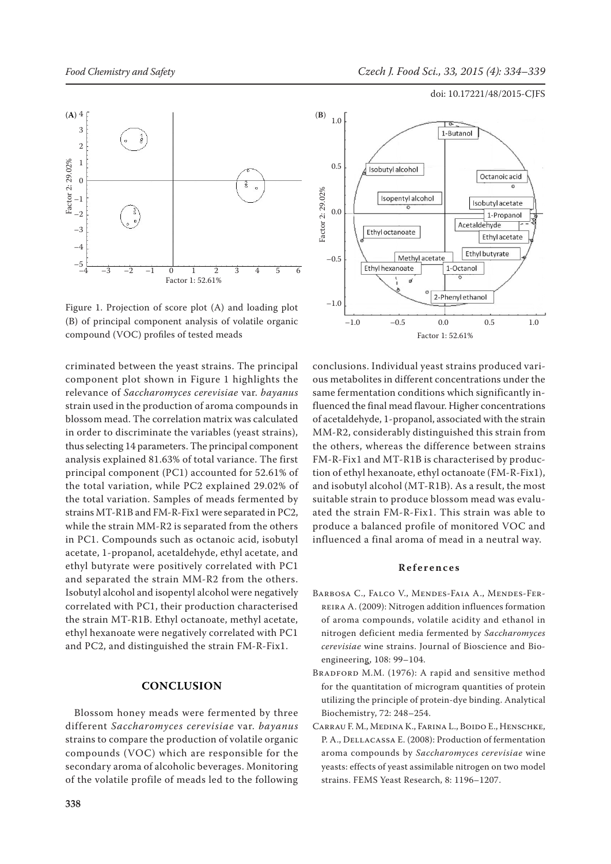



Figure 1. Projection of score plot (A) and loading plot (B) of principal component analysis of volatile organic compound (VOC) profiles of tested meads

criminated between the yeast strains. The principal component plot shown in Figure 1 highlights the relevance of *Saccharomyces cerevisiae* var. *bayanus*  strain used in the production of aroma compounds in blossom mead. The correlation matrix was calculated in order to discriminate the variables (yeast strains), thus selecting 14 parameters. The principal component analysis explained 81.63% of total variance. The first principal component (PC1) accounted for 52.61% of the total variation, while PC2 explained 29.02% of the total variation. Samples of meads fermented by strains MT-R1B and FM-R-Fix1 were separated in PC2, while the strain MM-R2 is separated from the others in PC1. Compounds such as octanoic acid, isobutyl acetate, 1-propanol, acetaldehyde, ethyl acetate, and ethyl butyrate were positively correlated with PC1 and separated the strain MM-R2 from the others. Isobutyl alcohol and isopentyl alcohol were negatively correlated with PC1, their production characterised the strain MT-R1B. Ethyl octanoate, methyl acetate, ethyl hexanoate were negatively correlated with PC1 and PC2, and distinguished the strain FM-R-Fix1.

## **Conclusion**

Blossom honey meads were fermented by three different *Saccharomyces cerevisiae* var. *bayanus* strains to compare the production of volatile organic compounds (VOC) which are responsible for the secondary aroma of alcoholic beverages. Monitoring of the volatile profile of meads led to the following



conclusions. Individual yeast strains produced various metabolites in different concentrations under the same fermentation conditions which significantly influenced the final mead flavour. Higher concentrations of acetaldehyde, 1-propanol, associated with the strain MM-R2, considerably distinguished this strain from the others, whereas the difference between strains FM-R-Fix1 and MT-R1B is characterised by production of ethyl hexanoate, ethyl octanoate (FM-R-Fix1), and isobutyl alcohol (MT-R1B). As a result, the most suitable strain to produce blossom mead was evaluated the strain FM-R-Fix1. This strain was able to produce a balanced profile of monitored VOC and influenced a final aroma of mead in a neutral way.

## **References**

- Barbosa C., Falco V., Mendes-Faia A., Mendes-Ferreira A. (2009): Nitrogen addition influences formation of aroma compounds, volatile acidity and ethanol in nitrogen deficient media fermented by *Saccharomyces cerevisiae* wine strains. Journal of Bioscience and Bioengineering, 108: 99–104.
- BRADFORD M.M. (1976): A rapid and sensitive method for the quantitation of microgram quantities of protein utilizing the principle of protein-dye binding. Analytical Biochemistry, 72: 248–254.
- Carrau F. M., Medina K., Farina L., Boido E., Henschke, P. A., Dellacassa E. (2008): Production of fermentation aroma compounds by *Saccharomyces cerevisiae* wine yeasts: effects of yeast assimilable nitrogen on two model strains. FEMS Yeast Research, 8: 1196–1207.